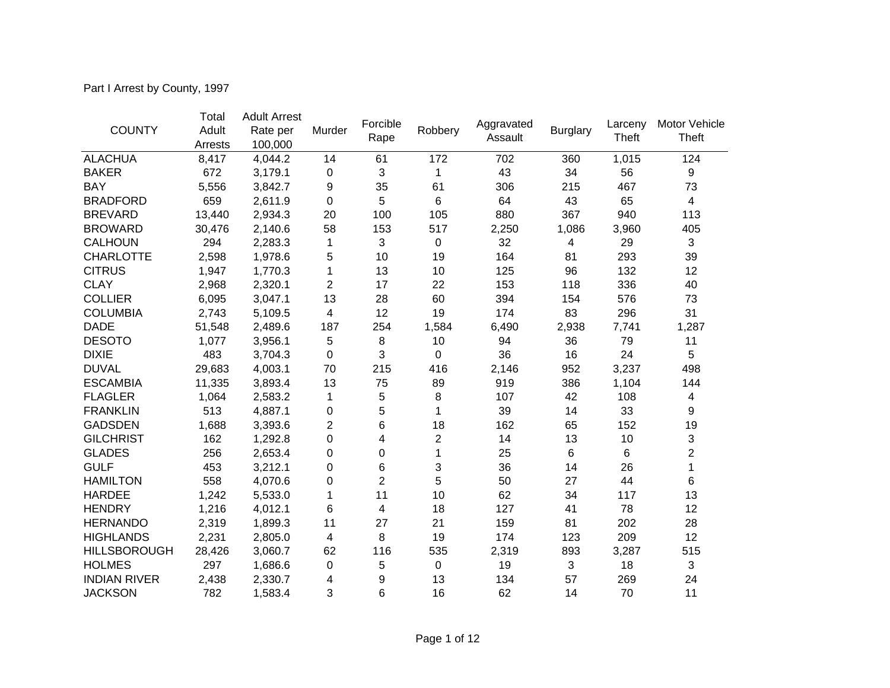Part I Arrest by County, 1997

|                     | Total   | <b>Adult Arrest</b> |                |                  |                         |                       |                 |                  |                        |
|---------------------|---------|---------------------|----------------|------------------|-------------------------|-----------------------|-----------------|------------------|------------------------|
| <b>COUNTY</b>       | Adult   | Rate per            | Murder         | Forcible<br>Rape | Robbery                 | Aggravated<br>Assault | <b>Burglary</b> | Larceny<br>Theft | Motor Vehicle<br>Theft |
|                     | Arrests | 100,000             |                |                  |                         |                       |                 |                  |                        |
| <b>ALACHUA</b>      | 8,417   | 4,044.2             | 14             | 61               | 172                     | 702                   | 360             | 1,015            | 124                    |
| <b>BAKER</b>        | 672     | 3,179.1             | 0              | 3                | 1                       | 43                    | 34              | 56               | 9                      |
| <b>BAY</b>          | 5,556   | 3,842.7             | 9              | 35               | 61                      | 306                   | 215             | 467              | 73                     |
| <b>BRADFORD</b>     | 659     | 2,611.9             | 0              | 5                | 6                       | 64                    | 43              | 65               | $\overline{4}$         |
| <b>BREVARD</b>      | 13,440  | 2,934.3             | 20             | 100              | 105                     | 880                   | 367             | 940              | 113                    |
| <b>BROWARD</b>      | 30,476  | 2,140.6             | 58             | 153              | 517                     | 2,250                 | 1,086           | 3,960            | 405                    |
| <b>CALHOUN</b>      | 294     | 2,283.3             | 1              | 3                | 0                       | 32                    | 4               | 29               | $\mathbf{3}$           |
| <b>CHARLOTTE</b>    | 2,598   | 1,978.6             | 5              | 10               | 19                      | 164                   | 81              | 293              | 39                     |
| <b>CITRUS</b>       | 1,947   | 1,770.3             | 1              | 13               | 10                      | 125                   | 96              | 132              | 12                     |
| <b>CLAY</b>         | 2,968   | 2,320.1             | $\overline{c}$ | 17               | 22                      | 153                   | 118             | 336              | 40                     |
| <b>COLLIER</b>      | 6,095   | 3,047.1             | 13             | 28               | 60                      | 394                   | 154             | 576              | 73                     |
| <b>COLUMBIA</b>     | 2,743   | 5,109.5             | 4              | 12               | 19                      | 174                   | 83              | 296              | 31                     |
| <b>DADE</b>         | 51,548  | 2,489.6             | 187            | 254              | 1,584                   | 6,490                 | 2,938           | 7,741            | 1,287                  |
| <b>DESOTO</b>       | 1,077   | 3,956.1             | 5              | 8                | 10                      | 94                    | 36              | 79               | 11                     |
| <b>DIXIE</b>        | 483     | 3,704.3             | 0              | 3                | $\pmb{0}$               | 36                    | 16              | 24               | 5                      |
| <b>DUVAL</b>        | 29,683  | 4,003.1             | 70             | 215              | 416                     | 2,146                 | 952             | 3,237            | 498                    |
| <b>ESCAMBIA</b>     | 11,335  | 3,893.4             | 13             | 75               | 89                      | 919                   | 386             | 1,104            | 144                    |
| <b>FLAGLER</b>      | 1,064   | 2,583.2             | 1              | 5                | 8                       | 107                   | 42              | 108              | 4                      |
| <b>FRANKLIN</b>     | 513     | 4,887.1             | 0              | 5                | 1                       | 39                    | 14              | 33               | 9                      |
| <b>GADSDEN</b>      | 1,688   | 3,393.6             | $\overline{c}$ | 6                | 18                      | 162                   | 65              | 152              | 19                     |
| <b>GILCHRIST</b>    | 162     | 1,292.8             | 0              | 4                | $\overline{\mathbf{c}}$ | 14                    | 13              | 10               | $\sqrt{3}$             |
| <b>GLADES</b>       | 256     | 2,653.4             | 0              | 0                | 1                       | 25                    | 6               | 6                | $\overline{2}$         |
| <b>GULF</b>         | 453     | 3,212.1             | 0              | 6                | 3                       | 36                    | 14              | 26               | 1                      |
| <b>HAMILTON</b>     | 558     | 4,070.6             | 0              | $\overline{c}$   | 5                       | 50                    | 27              | 44               | 6                      |
| <b>HARDEE</b>       | 1,242   | 5,533.0             | 1              | 11               | 10                      | 62                    | 34              | 117              | 13                     |
| <b>HENDRY</b>       | 1,216   | 4,012.1             | 6              | 4                | 18                      | 127                   | 41              | 78               | 12                     |
| <b>HERNANDO</b>     | 2,319   | 1,899.3             | 11             | 27               | 21                      | 159                   | 81              | 202              | 28                     |
| <b>HIGHLANDS</b>    | 2,231   | 2,805.0             | 4              | 8                | 19                      | 174                   | 123             | 209              | 12                     |
| <b>HILLSBOROUGH</b> | 28,426  | 3,060.7             | 62             | 116              | 535                     | 2,319                 | 893             | 3,287            | 515                    |
| <b>HOLMES</b>       | 297     | 1,686.6             | 0              | 5                | 0                       | 19                    | 3               | 18               | $\sqrt{3}$             |
| <b>INDIAN RIVER</b> | 2,438   | 2,330.7             | 4              | 9                | 13                      | 134                   | 57              | 269              | 24                     |
| <b>JACKSON</b>      | 782     | 1,583.4             | 3              | 6                | 16                      | 62                    | 14              | 70               | 11                     |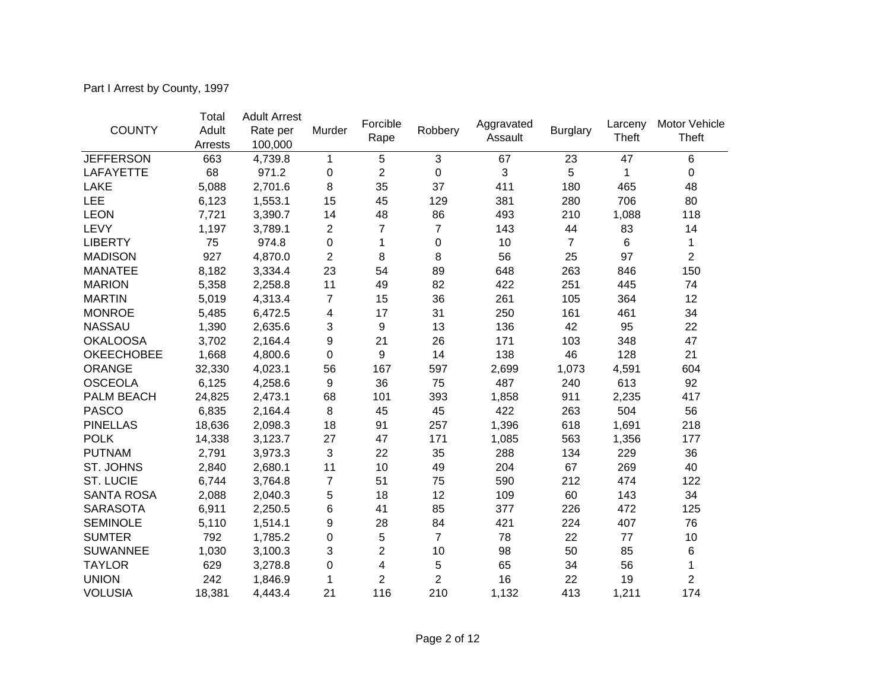Part I Arrest by County, 1997

|                   | Total   | <b>Adult Arrest</b> |                |                |                |                       |                 |                  |                        |
|-------------------|---------|---------------------|----------------|----------------|----------------|-----------------------|-----------------|------------------|------------------------|
| <b>COUNTY</b>     | Adult   | Rate per            | Murder         | Forcible       | Robbery        | Aggravated<br>Assault | <b>Burglary</b> | Larceny<br>Theft | Motor Vehicle<br>Theft |
|                   | Arrests | 100,000             |                | Rape           |                |                       |                 |                  |                        |
| <b>JEFFERSON</b>  | 663     | 4,739.8             | 1              | 5              | 3              | 67                    | 23              | 47               | 6                      |
| <b>LAFAYETTE</b>  | 68      | 971.2               | $\mathbf 0$    | $\overline{2}$ | 0              | 3                     | 5               | 1                | 0                      |
| LAKE              | 5,088   | 2,701.6             | 8              | 35             | 37             | 411                   | 180             | 465              | 48                     |
| LEE               | 6,123   | 1,553.1             | 15             | 45             | 129            | 381                   | 280             | 706              | 80                     |
| <b>LEON</b>       | 7,721   | 3,390.7             | 14             | 48             | 86             | 493                   | 210             | 1,088            | 118                    |
| LEVY              | 1,197   | 3,789.1             | $\overline{c}$ | 7              | $\overline{7}$ | 143                   | 44              | 83               | 14                     |
| <b>LIBERTY</b>    | 75      | 974.8               | 0              | 1              | 0              | 10                    | $\overline{7}$  | 6                | 1                      |
| <b>MADISON</b>    | 927     | 4,870.0             | 2              | 8              | 8              | 56                    | 25              | 97               | $\overline{2}$         |
| <b>MANATEE</b>    | 8,182   | 3,334.4             | 23             | 54             | 89             | 648                   | 263             | 846              | 150                    |
| <b>MARION</b>     | 5,358   | 2,258.8             | 11             | 49             | 82             | 422                   | 251             | 445              | 74                     |
| <b>MARTIN</b>     | 5,019   | 4,313.4             | $\overline{7}$ | 15             | 36             | 261                   | 105             | 364              | 12                     |
| <b>MONROE</b>     | 5,485   | 6,472.5             | 4              | 17             | 31             | 250                   | 161             | 461              | 34                     |
| <b>NASSAU</b>     | 1,390   | 2,635.6             | 3              | 9              | 13             | 136                   | 42              | 95               | 22                     |
| <b>OKALOOSA</b>   | 3,702   | 2,164.4             | 9              | 21             | 26             | 171                   | 103             | 348              | 47                     |
| <b>OKEECHOBEE</b> | 1,668   | 4,800.6             | 0              | 9              | 14             | 138                   | 46              | 128              | 21                     |
| <b>ORANGE</b>     | 32,330  | 4,023.1             | 56             | 167            | 597            | 2,699                 | 1,073           | 4,591            | 604                    |
| <b>OSCEOLA</b>    | 6,125   | 4,258.6             | 9              | 36             | 75             | 487                   | 240             | 613              | 92                     |
| <b>PALM BEACH</b> | 24,825  | 2,473.1             | 68             | 101            | 393            | 1,858                 | 911             | 2,235            | 417                    |
| <b>PASCO</b>      | 6,835   | 2,164.4             | 8              | 45             | 45             | 422                   | 263             | 504              | 56                     |
| <b>PINELLAS</b>   | 18,636  | 2,098.3             | 18             | 91             | 257            | 1,396                 | 618             | 1,691            | 218                    |
| <b>POLK</b>       | 14,338  | 3,123.7             | 27             | 47             | 171            | 1,085                 | 563             | 1,356            | 177                    |
| <b>PUTNAM</b>     | 2,791   | 3,973.3             | 3              | 22             | 35             | 288                   | 134             | 229              | 36                     |
| ST. JOHNS         | 2,840   | 2,680.1             | 11             | 10             | 49             | 204                   | 67              | 269              | 40                     |
| <b>ST. LUCIE</b>  | 6,744   | 3,764.8             | $\overline{7}$ | 51             | 75             | 590                   | 212             | 474              | 122                    |
| <b>SANTA ROSA</b> | 2,088   | 2,040.3             | 5              | 18             | 12             | 109                   | 60              | 143              | 34                     |
| <b>SARASOTA</b>   | 6,911   | 2,250.5             | 6              | 41             | 85             | 377                   | 226             | 472              | 125                    |
| <b>SEMINOLE</b>   | 5,110   | 1,514.1             | 9              | 28             | 84             | 421                   | 224             | 407              | 76                     |
| <b>SUMTER</b>     | 792     | 1,785.2             | 0              | 5              | $\overline{7}$ | 78                    | 22              | 77               | 10                     |
| <b>SUWANNEE</b>   | 1,030   | 3,100.3             | 3              | $\overline{2}$ | 10             | 98                    | 50              | 85               | 6                      |
| <b>TAYLOR</b>     | 629     | 3,278.8             | 0              | 4              | 5              | 65                    | 34              | 56               | 1                      |
| <b>UNION</b>      | 242     | 1,846.9             | 1              | $\overline{2}$ | $\overline{c}$ | 16                    | 22              | 19               | $\overline{2}$         |
| <b>VOLUSIA</b>    | 18,381  | 4,443.4             | 21             | 116            | 210            | 1,132                 | 413             | 1,211            | 174                    |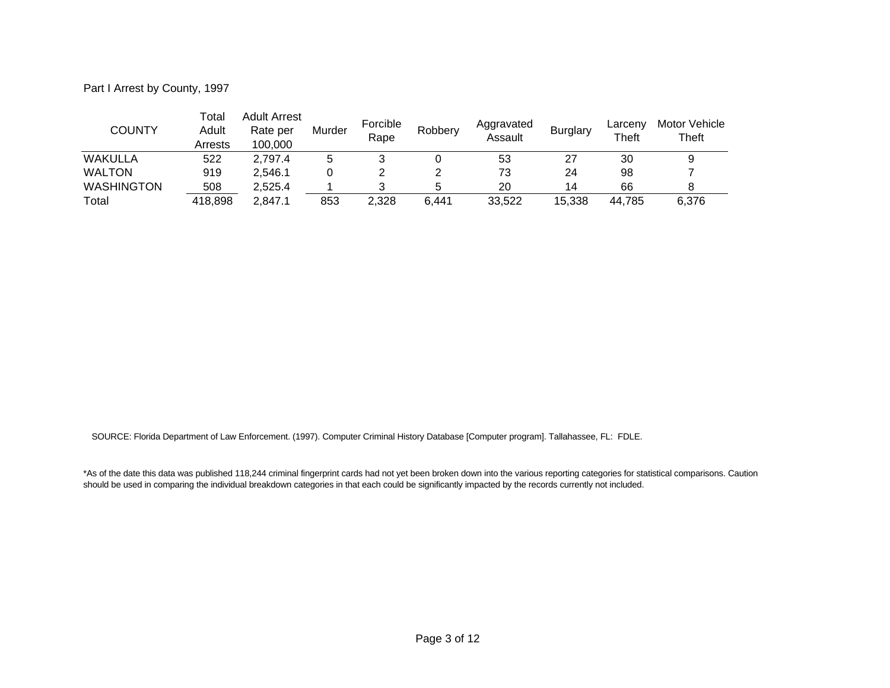Part I Arrest by County, 1997

| COUNTY            | Total<br>Adult<br>Arrests | Adult Arrest<br>Rate per<br>100,000 | Murder | Forcible<br>Rape | Robbery | Aggravated<br>Assault | <b>Burglary</b> | Larceny<br>Theft | Motor Vehicle<br>Theft |
|-------------------|---------------------------|-------------------------------------|--------|------------------|---------|-----------------------|-----------------|------------------|------------------------|
| <b>WAKULLA</b>    | 522                       | 2.797.4                             | 5      |                  |         | 53                    | 27              | 30               |                        |
| <b>WALTON</b>     | 919                       | 2.546.1                             |        |                  |         | 73                    | 24              | 98               |                        |
| <b>WASHINGTON</b> | 508                       | 2.525.4                             |        |                  |         | 20                    | 14              | 66               |                        |
| Total             | 418,898                   | 2.847.1                             | 853    | 2.328            | 6.441   | 33.522                | 15,338          | 44.785           | 6,376                  |

SOURCE: Florida Department of Law Enforcement. (1997). Computer Criminal History Database [Computer program]. Tallahassee, FL: FDLE.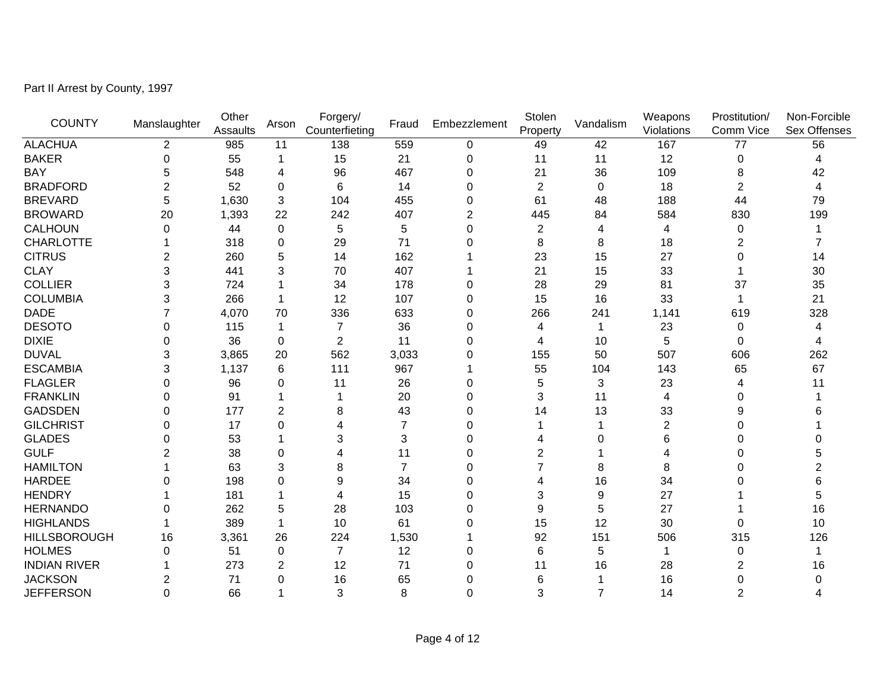Part II Arrest by County, 1997

| <b>COUNTY</b>       | Manslaughter   | Other<br>Assaults | Arson          | Forgery/<br>Counterfieting | Fraud          | Embezzlement   | Stolen<br>Property | Vandalism      | Weapons<br>Violations | Prostitution/<br>Comm Vice | Non-Forcible<br>Sex Offenses |
|---------------------|----------------|-------------------|----------------|----------------------------|----------------|----------------|--------------------|----------------|-----------------------|----------------------------|------------------------------|
| <b>ALACHUA</b>      | $\overline{2}$ | 985               | 11             | 138                        | 559            | 0              | 49                 | 42             | 167                   | 77                         | 56                           |
| <b>BAKER</b>        | 0              | 55                | -1             | 15                         | 21             | 0              | 11                 | 11             | 12                    | 0                          | 4                            |
| <b>BAY</b>          | 5              | 548               | 4              | 96                         | 467            | 0              | 21                 | 36             | 109                   | 8                          | 42                           |
| <b>BRADFORD</b>     | $\overline{2}$ | 52                | $\Omega$       | 6                          | 14             | 0              | $\overline{2}$     | 0              | 18                    | 2                          | 4                            |
| <b>BREVARD</b>      | 5              | 1,630             | 3              | 104                        | 455            | 0              | 61                 | 48             | 188                   | 44                         | 79                           |
| <b>BROWARD</b>      | 20             | 1,393             | 22             | 242                        | 407            | $\overline{2}$ | 445                | 84             | 584                   | 830                        | 199                          |
| <b>CALHOUN</b>      | 0              | 44                | 0              | 5                          | 5              | 0              | $\overline{2}$     | 4              | 4                     | 0                          |                              |
| <b>CHARLOTTE</b>    |                | 318               | $\Omega$       | 29                         | 71             | $\Omega$       | 8                  | 8              | 18                    | 2                          |                              |
| <b>CITRUS</b>       | 2              | 260               | 5              | 14                         | 162            |                | 23                 | 15             | 27                    | 0                          | 14                           |
| <b>CLAY</b>         | 3              | 441               | 3              | 70                         | 407            |                | 21                 | 15             | 33                    |                            | 30                           |
| <b>COLLIER</b>      | 3              | 724               |                | 34                         | 178            | 0              | 28                 | 29             | 81                    | 37                         | 35                           |
| <b>COLUMBIA</b>     | 3              | 266               | $\mathbf 1$    | 12                         | 107            | 0              | 15                 | 16             | 33                    |                            | 21                           |
| <b>DADE</b>         | 7              | 4,070             | 70             | 336                        | 633            | 0              | 266                | 241            | 1,141                 | 619                        | 328                          |
| <b>DESOTO</b>       | 0              | 115               | -1             | $\overline{7}$             | 36             | 0              | 4                  |                | 23                    | 0                          | 4                            |
| <b>DIXIE</b>        | 0              | 36                | $\Omega$       | $\overline{c}$             | 11             | 0              | 4                  | 10             | 5                     | 0                          | 4                            |
| <b>DUVAL</b>        | 3              | 3,865             | 20             | 562                        | 3,033          | 0              | 155                | 50             | 507                   | 606                        | 262                          |
| <b>ESCAMBIA</b>     | 3              | 1,137             | 6              | 111                        | 967            |                | 55                 | 104            | 143                   | 65                         | 67                           |
| <b>FLAGLER</b>      | 0              | 96                | 0              | 11                         | 26             | 0              | 5                  | 3              | 23                    | 4                          | 11                           |
| <b>FRANKLIN</b>     | 0              | 91                |                |                            | 20             | 0              | 3                  | 11             | 4                     | 0                          |                              |
| <b>GADSDEN</b>      | 0              | 177               | 2              | 8                          | 43             | 0              | 14                 | 13             | 33                    |                            |                              |
| <b>GILCHRIST</b>    | 0              | 17                | $\Omega$       | 4                          | $\overline{7}$ | 0              |                    |                | $\overline{2}$        | 0                          |                              |
| <b>GLADES</b>       | 0              | 53                |                | 3                          | 3              | 0              |                    | O              | 6                     | 0                          |                              |
| <b>GULF</b>         | 2              | 38                | $\Omega$       | 4                          | 11             | 0              | 2                  |                | 4                     | 0                          | 5                            |
| <b>HAMILTON</b>     |                | 63                | 3              | 8                          | $\overline{7}$ | 0              | 7                  | 8              | 8                     | 0                          | $\overline{2}$               |
| <b>HARDEE</b>       | ი              | 198               | $\Omega$       | 9                          | 34             | 0              | 4                  | 16             | 34                    | O                          |                              |
| <b>HENDRY</b>       |                | 181               |                | 4                          | 15             | 0              | 3                  | 9              | 27                    |                            | 5                            |
| <b>HERNANDO</b>     | 0              | 262               | 5              | 28                         | 103            | $\Omega$       | 9                  | 5              | 27                    |                            | 16                           |
| <b>HIGHLANDS</b>    |                | 389               | $\mathbf 1$    | 10                         | 61             | 0              | 15                 | 12             | 30                    | 0                          | 10                           |
| <b>HILLSBOROUGH</b> | 16             | 3,361             | 26             | 224                        | 1,530          |                | 92                 | 151            | 506                   | 315                        | 126                          |
| <b>HOLMES</b>       | 0              | 51                | 0              | $\overline{7}$             | 12             | 0              | 6                  | 5              | -1                    | 0                          |                              |
| <b>INDIAN RIVER</b> |                | 273               | $\overline{2}$ | 12                         | 71             | 0              | 11                 | 16             | 28                    | 2                          | 16                           |
| <b>JACKSON</b>      | 2              | 71                | $\Omega$       | 16                         | 65             | $\Omega$       | 6                  |                | 16                    | 0                          | $\Omega$                     |
| <b>JEFFERSON</b>    | 0              | 66                |                | 3                          | 8              | 0              | 3                  | $\overline{7}$ | 14                    | $\overline{2}$             |                              |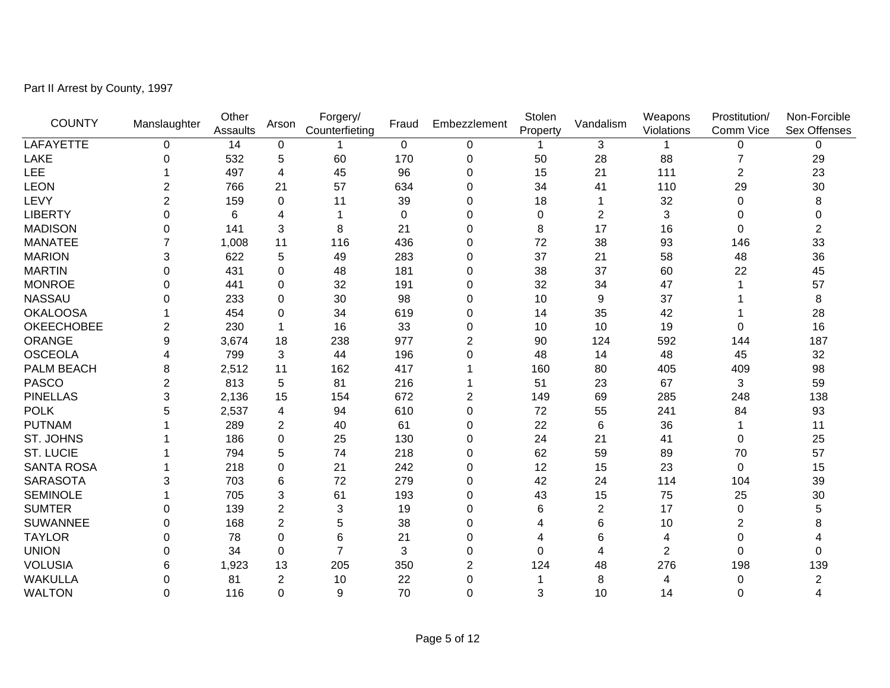Part II Arrest by County, 1997

| <b>COUNTY</b>     | Manslaughter   | Other<br>Assaults | Arson          | Forgery/<br>Counterfieting | Fraud            | Embezzlement   | Stolen<br>Property | Vandalism        | Weapons<br>Violations | Prostitution/<br>Comm Vice | Non-Forcible<br>Sex Offenses |
|-------------------|----------------|-------------------|----------------|----------------------------|------------------|----------------|--------------------|------------------|-----------------------|----------------------------|------------------------------|
| LAFAYETTE         | $\Omega$       | 14                | $\pmb{0}$      |                            | $\pmb{0}$        | 0              |                    | 3                |                       | 0                          | 0                            |
| <b>LAKE</b>       | $\Omega$       | 532               | 5              | 60                         | 170              | 0              | 50                 | 28               | 88                    |                            | 29                           |
| <b>LEE</b>        |                | 497               | 4              | 45                         | 96               | 0              | 15                 | 21               | 111                   | 2                          | 23                           |
| <b>LEON</b>       | 2              | 766               | 21             | 57                         | 634              | 0              | 34                 | 41               | 110                   | 29                         | 30                           |
| LEVY              | $\overline{2}$ | 159               | $\mathbf 0$    | 11                         | 39               | 0              | 18                 |                  | 32                    | 0                          | 8                            |
| <b>LIBERTY</b>    | 0              | 6                 | 4              |                            | $\boldsymbol{0}$ | 0              | 0                  | $\boldsymbol{2}$ | 3                     | 0                          | 0                            |
| <b>MADISON</b>    | 0              | 141               | 3              | 8                          | 21               | 0              | 8                  | 17               | 16                    | 0                          | $\overline{c}$               |
| <b>MANATEE</b>    | 7              | 1,008             | 11             | 116                        | 436              | 0              | 72                 | 38               | 93                    | 146                        | 33                           |
| <b>MARION</b>     | 3              | 622               | 5              | 49                         | 283              | 0              | 37                 | 21               | 58                    | 48                         | 36                           |
| <b>MARTIN</b>     | $\Omega$       | 431               | $\Omega$       | 48                         | 181              | 0              | 38                 | 37               | 60                    | 22                         | 45                           |
| <b>MONROE</b>     | 0              | 441               | $\Omega$       | 32                         | 191              | 0              | 32                 | 34               | 47                    |                            | 57                           |
| <b>NASSAU</b>     | 0              | 233               | 0              | 30                         | 98               | 0              | 10                 | 9                | 37                    |                            | 8                            |
| <b>OKALOOSA</b>   |                | 454               | 0              | 34                         | 619              | 0              | 14                 | 35               | 42                    |                            | 28                           |
| <b>OKEECHOBEE</b> | $\overline{2}$ | 230               | $\mathbf{1}$   | 16                         | 33               | 0              | 10                 | 10               | 19                    | 0                          | 16                           |
| ORANGE            | 9              | 3,674             | 18             | 238                        | 977              | $\overline{c}$ | 90                 | 124              | 592                   | 144                        | 187                          |
| <b>OSCEOLA</b>    | 4              | 799               | 3              | 44                         | 196              | $\overline{0}$ | 48                 | 14               | 48                    | 45                         | 32                           |
| PALM BEACH        | 8              | 2,512             | 11             | 162                        | 417              |                | 160                | 80               | 405                   | 409                        | 98                           |
| <b>PASCO</b>      | 2              | 813               | 5              | 81                         | 216              | 1              | 51                 | 23               | 67                    | 3                          | 59                           |
| <b>PINELLAS</b>   | 3              | 2,136             | 15             | 154                        | 672              | $\overline{c}$ | 149                | 69               | 285                   | 248                        | 138                          |
| <b>POLK</b>       | 5              | 2,537             | 4              | 94                         | 610              | 0              | 72                 | 55               | 241                   | 84                         | 93                           |
| <b>PUTNAM</b>     |                | 289               | $\overline{c}$ | 40                         | 61               | 0              | 22                 | $\,6$            | 36                    |                            | 11                           |
| ST. JOHNS         |                | 186               | 0              | 25                         | 130              | 0              | 24                 | 21               | 41                    | 0                          | 25                           |
| <b>ST. LUCIE</b>  |                | 794               | 5              | 74                         | 218              | 0              | 62                 | 59               | 89                    | 70                         | 57                           |
| <b>SANTA ROSA</b> |                | 218               | $\Omega$       | 21                         | 242              | 0              | 12                 | 15               | 23                    | 0                          | 15                           |
| <b>SARASOTA</b>   | 3              | 703               | 6              | 72                         | 279              | 0              | 42                 | 24               | 114                   | 104                        | 39                           |
| <b>SEMINOLE</b>   |                | 705               | 3              | 61                         | 193              | 0              | 43                 | 15               | 75                    | 25                         | 30                           |
| <b>SUMTER</b>     | 0              | 139               | $\overline{c}$ | 3                          | 19               | 0              | 6                  | $\overline{c}$   | 17                    | 0                          | 5                            |
| <b>SUWANNEE</b>   | 0              | 168               | $\overline{c}$ | 5                          | 38               | 0              | 4                  | 6                | 10                    | 2                          | 8                            |
| <b>TAYLOR</b>     | 0              | 78                | $\Omega$       | 6                          | 21               | 0              | 4                  | 6                | 4                     | 0                          |                              |
| <b>UNION</b>      | 0              | 34                | $\Omega$       | $\overline{7}$             | 3                | 0              | $\Omega$           | 4                | $\overline{2}$        | 0                          | $\Omega$                     |
| <b>VOLUSIA</b>    | 6              | 1,923             | 13             | 205                        | 350              | $\overline{2}$ | 124                | 48               | 276                   | 198                        | 139                          |
| <b>WAKULLA</b>    | 0              | 81                | $\overline{c}$ | 10                         | 22               | 0              |                    | 8                | 4                     | 0                          | 2                            |
| <b>WALTON</b>     | 0              | 116               | $\mathbf 0$    | 9                          | 70               | 0              | 3                  | 10               | 14                    | 0                          | 4                            |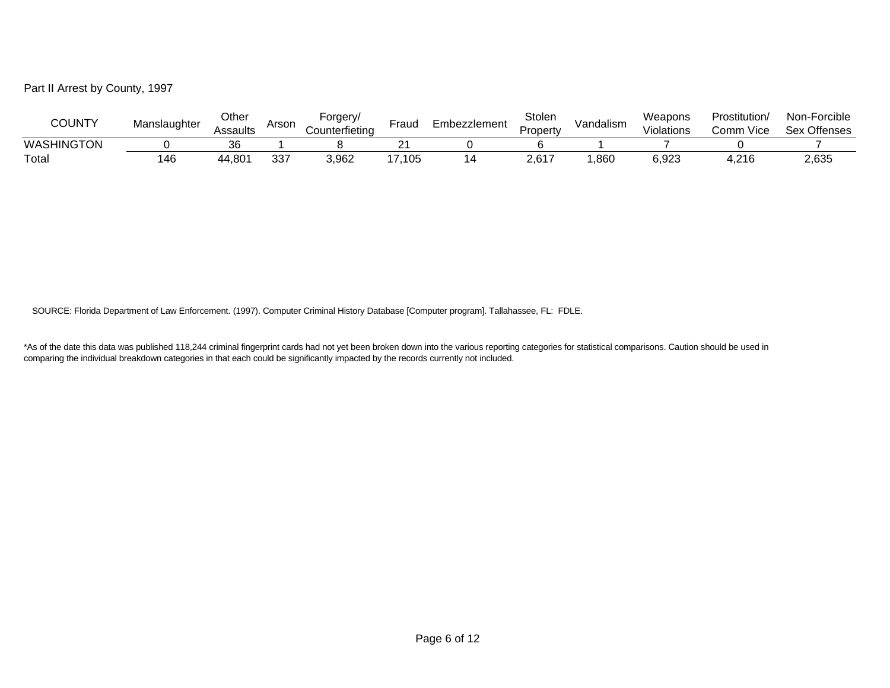Part II Arrest by County, 1997

| <b>COUNTY</b> | Manslaughter | Other<br>Assaults | Arson     | -orgery/<br>Counterfietina | Fraud | ∃mbezzlement | Stolen<br>Propert∨ | Vandalism | Weapons<br>Violations | Prostitution/<br>Vice<br>omm | Non-Forcible<br><b>Sex Offenses</b> |
|---------------|--------------|-------------------|-----------|----------------------------|-------|--------------|--------------------|-----------|-----------------------|------------------------------|-------------------------------------|
| WASHINGTON    |              |                   |           |                            |       |              |                    |           |                       |                              |                                     |
| Totai         | 146          | 44,801            | 337<br>JU | 3,962                      | 7,105 |              | 2,617              | ,860      | 6,923                 | 4,216                        | 2,635                               |

SOURCE: Florida Department of Law Enforcement. (1997). Computer Criminal History Database [Computer program]. Tallahassee, FL: FDLE.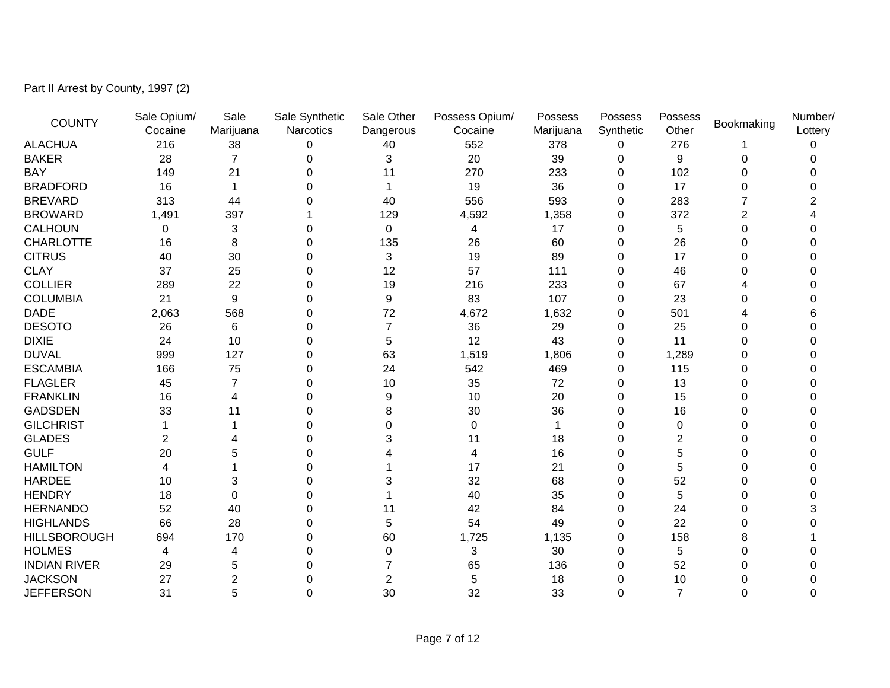Part II Arrest by County, 1997 (2)

| <b>COUNTY</b>       | Sale Opium/ | Sale           | Sale Synthetic | Sale Other     | Possess Opium/ | Possess   | Possess     | Possess        | Bookmaking | Number/  |
|---------------------|-------------|----------------|----------------|----------------|----------------|-----------|-------------|----------------|------------|----------|
|                     | Cocaine     | Marijuana      | Narcotics      | Dangerous      | Cocaine        | Marijuana | Synthetic   | Other          |            | Lottery  |
| <b>ALACHUA</b>      | 216         | 38             | 0              | 40             | 552            | 378       | 0           | 276            |            | $\Omega$ |
| <b>BAKER</b>        | 28          | 7              | 0              | 3              | 20             | 39        | 0           | 9              | 0          |          |
| <b>BAY</b>          | 149         | 21             | $\Omega$       | 11             | 270            | 233       | $\Omega$    | 102            | 0          |          |
| <b>BRADFORD</b>     | 16          |                | 0              |                | 19             | 36        | $\Omega$    | 17             | 0          |          |
| <b>BREVARD</b>      | 313         | 44             | O              | 40             | 556            | 593       | 0           | 283            | 7          |          |
| <b>BROWARD</b>      | 1,491       | 397            |                | 129            | 4,592          | 1,358     | 0           | 372            | 2          |          |
| <b>CALHOUN</b>      | 0           | 3              | O              | 0              | 4              | 17        | 0           | 5              | 0          |          |
| <b>CHARLOTTE</b>    | 16          | 8              | 0              | 135            | 26             | 60        | $\Omega$    | 26             | 0          |          |
| <b>CITRUS</b>       | 40          | 30             | 0              | 3              | 19             | 89        | 0           | 17             | 0          |          |
| <b>CLAY</b>         | 37          | 25             | 0              | 12             | 57             | 111       | $\Omega$    | 46             | 0          |          |
| <b>COLLIER</b>      | 289         | 22             | $\Omega$       | 19             | 216            | 233       | $\Omega$    | 67             |            |          |
| <b>COLUMBIA</b>     | 21          | 9              | 0              | 9              | 83             | 107       | $\Omega$    | 23             | 0          |          |
| <b>DADE</b>         | 2,063       | 568            | 0              | 72             | 4,672          | 1,632     | $\Omega$    | 501            |            |          |
| <b>DESOTO</b>       | 26          | 6              | 0              |                | 36             | 29        | 0           | 25             | 0          |          |
| <b>DIXIE</b>        | 24          | 10             | 0              | 5              | 12             | 43        | $\Omega$    | 11             | 0          |          |
| <b>DUVAL</b>        | 999         | 127            | 0              | 63             | 1,519          | 1,806     | 0           | 1,289          | 0          |          |
| <b>ESCAMBIA</b>     | 166         | 75             | 0              | 24             | 542            | 469       | 0           | 115            | 0          |          |
| <b>FLAGLER</b>      | 45          | $\overline{7}$ | $\Omega$       | 10             | 35             | 72        | $\Omega$    | 13             | 0          |          |
| <b>FRANKLIN</b>     | 16          | 4              | $\Omega$       | 9              | 10             | 20        | $\Omega$    | 15             | 0          |          |
| <b>GADSDEN</b>      | 33          | 11             |                | 8              | 30             | 36        | $\Omega$    | 16             | 0          |          |
| <b>GILCHRIST</b>    |             |                |                | 0              | 0              |           | 0           | 0              | 0          |          |
| <b>GLADES</b>       | 2           |                | 0              | 3              | 11             | 18        | 0           | 2              | 0          |          |
| <b>GULF</b>         | 20          | 5              | 0              |                | 4              | 16        | 0           | 5              | 0          |          |
| <b>HAMILTON</b>     | 4           |                | 0              |                | 17             | 21        | 0           | 5              | 0          |          |
| <b>HARDEE</b>       | 10          | 3              | 0              |                | 32             | 68        | $\Omega$    | 52             |            |          |
| <b>HENDRY</b>       | 18          | 0              | $\Omega$       |                | 40             | 35        | $\Omega$    | 5              | 0          |          |
| <b>HERNANDO</b>     | 52          | 40             | O              | 11             | 42             | 84        | $\Omega$    | 24             | 0          |          |
| <b>HIGHLANDS</b>    | 66          | 28             | O              | 5              | 54             | 49        | 0           | 22             | 0          |          |
| <b>HILLSBOROUGH</b> | 694         | 170            | 0              | 60             | 1,725          | 1,135     | 0           | 158            | 8          |          |
| <b>HOLMES</b>       | 4           | 4              | 0              | 0              | 3              | 30        | 0           | 5              | 0          |          |
| <b>INDIAN RIVER</b> | 29          | 5              | 0              |                | 65             | 136       | 0           | 52             | Ω          |          |
| <b>JACKSON</b>      | 27          | 2              | 0              | $\overline{2}$ | 5              | 18        | $\Omega$    | 10             | 0          |          |
| <b>JEFFERSON</b>    | 31          | 5              | $\Omega$       | 30             | 32             | 33        | $\mathbf 0$ | $\overline{7}$ | 0          | $\Omega$ |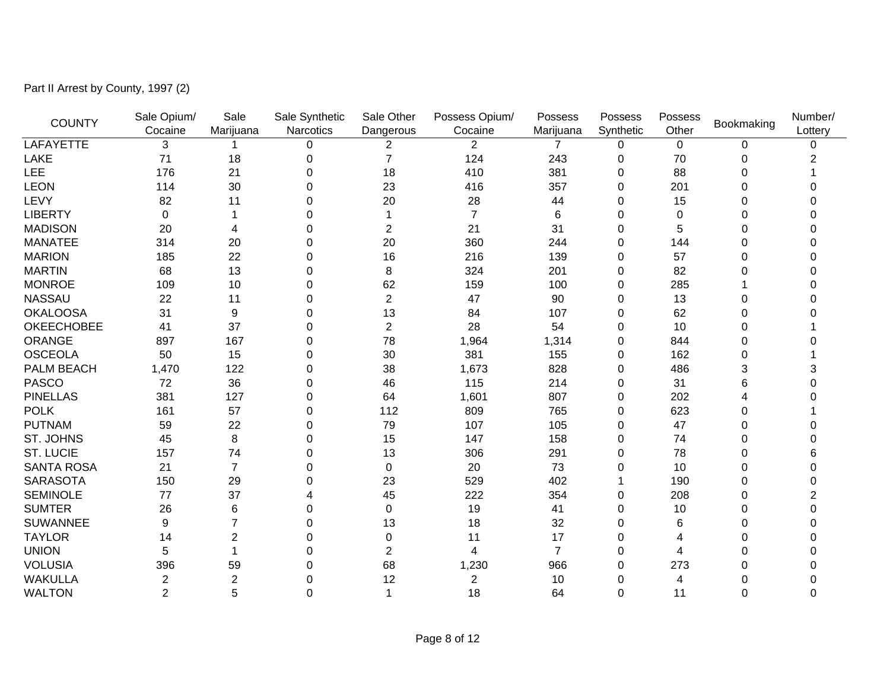Part II Arrest by County, 1997 (2)

| <b>COUNTY</b>     | Sale Opium/    | Sale           | Sale Synthetic | Sale Other     | Possess Opium/ | Possess   | Possess     | Possess     | Bookmaking | Number/  |
|-------------------|----------------|----------------|----------------|----------------|----------------|-----------|-------------|-------------|------------|----------|
|                   | Cocaine        | Marijuana      | Narcotics      | Dangerous      | Cocaine        | Marijuana | Synthetic   | Other       |            | Lottery  |
| LAFAYETTE         | 3              |                | 0              | 2              | $\overline{2}$ | 7         | 0           | $\mathbf 0$ | 0          | $\Omega$ |
| <b>LAKE</b>       | 71             | 18             | 0              | $\overline{7}$ | 124            | 243       | 0           | 70          | 0          |          |
| <b>LEE</b>        | 176            | 21             | 0              | 18             | 410            | 381       | 0           | 88          | 0          |          |
| <b>LEON</b>       | 114            | 30             | 0              | 23             | 416            | 357       | $\Omega$    | 201         | 0          |          |
| LEVY              | 82             | 11             | 0              | 20             | 28             | 44        | 0           | 15          | 0          |          |
| <b>LIBERTY</b>    | 0              |                | 0              |                | 7              | 6         | 0           | 0           | 0          |          |
| <b>MADISON</b>    | 20             | 4              | 0              | $\overline{2}$ | 21             | 31        | 0           | 5           | 0          |          |
| <b>MANATEE</b>    | 314            | 20             | 0              | 20             | 360            | 244       | 0           | 144         | 0          |          |
| <b>MARION</b>     | 185            | 22             | 0              | 16             | 216            | 139       | 0           | 57          | 0          |          |
| <b>MARTIN</b>     | 68             | 13             | 0              | 8              | 324            | 201       | $\Omega$    | 82          | 0          |          |
| <b>MONROE</b>     | 109            | 10             | 0              | 62             | 159            | 100       | $\Omega$    | 285         |            |          |
| <b>NASSAU</b>     | 22             | 11             | 0              | $\overline{2}$ | 47             | 90        | $\Omega$    | 13          | 0          |          |
| <b>OKALOOSA</b>   | 31             | 9              | 0              | 13             | 84             | 107       | 0           | 62          | 0          |          |
| <b>OKEECHOBEE</b> | 41             | 37             | 0              | $\overline{2}$ | 28             | 54        | 0           | 10          | 0          |          |
| ORANGE            | 897            | 167            | 0              | 78             | 1,964          | 1,314     | 0           | 844         | 0          |          |
| <b>OSCEOLA</b>    | 50             | 15             | 0              | 30             | 381            | 155       | 0           | 162         | 0          |          |
| PALM BEACH        | 1,470          | 122            | 0              | 38             | 1,673          | 828       | 0           | 486         | 3          |          |
| <b>PASCO</b>      | 72             | 36             | 0              | 46             | 115            | 214       | $\Omega$    | 31          | 6          |          |
| <b>PINELLAS</b>   | 381            | 127            | 0              | 64             | 1,601          | 807       | 0           | 202         |            |          |
| <b>POLK</b>       | 161            | 57             | 0              | 112            | 809            | 765       | $\mathbf 0$ | 623         | 0          |          |
| <b>PUTNAM</b>     | 59             | 22             | 0              | 79             | 107            | 105       | 0           | 47          | 0          |          |
| ST. JOHNS         | 45             | 8              | 0              | 15             | 147            | 158       | 0           | 74          | 0          |          |
| <b>ST. LUCIE</b>  | 157            | 74             | 0              | 13             | 306            | 291       | 0           | 78          | 0          | 6        |
| <b>SANTA ROSA</b> | 21             | $\overline{7}$ | 0              | $\mathbf 0$    | 20             | 73        | 0           | 10          | 0          |          |
| <b>SARASOTA</b>   | 150            | 29             | 0              | 23             | 529            | 402       |             | 190         | 0          |          |
| <b>SEMINOLE</b>   | 77             | 37             | 4              | 45             | 222            | 354       | $\Omega$    | 208         | 0          | 2        |
| <b>SUMTER</b>     | 26             | 6              | 0              | $\Omega$       | 19             | 41        | 0           | 10          | 0          |          |
| <b>SUWANNEE</b>   | 9              |                | 0              | 13             | 18             | 32        | 0           | 6           | 0          |          |
| <b>TAYLOR</b>     | 14             | 2              | 0              | $\mathbf 0$    | 11             | 17        | 0           | 4           | 0          |          |
| <b>UNION</b>      | 5              |                | 0              | $\overline{2}$ | 4              | 7         | 0           | 4           | 0          |          |
| <b>VOLUSIA</b>    | 396            | 59             | 0              | 68             | 1,230          | 966       | 0           | 273         | 0          |          |
| <b>WAKULLA</b>    | 2              | $\overline{2}$ | 0              | 12             | $\overline{c}$ | 10        | 0           | 4           | 0          |          |
| <b>WALTON</b>     | $\overline{2}$ | 5              | 0              | 1              | 18             | 64        | $\Omega$    | 11          | 0          | $\Omega$ |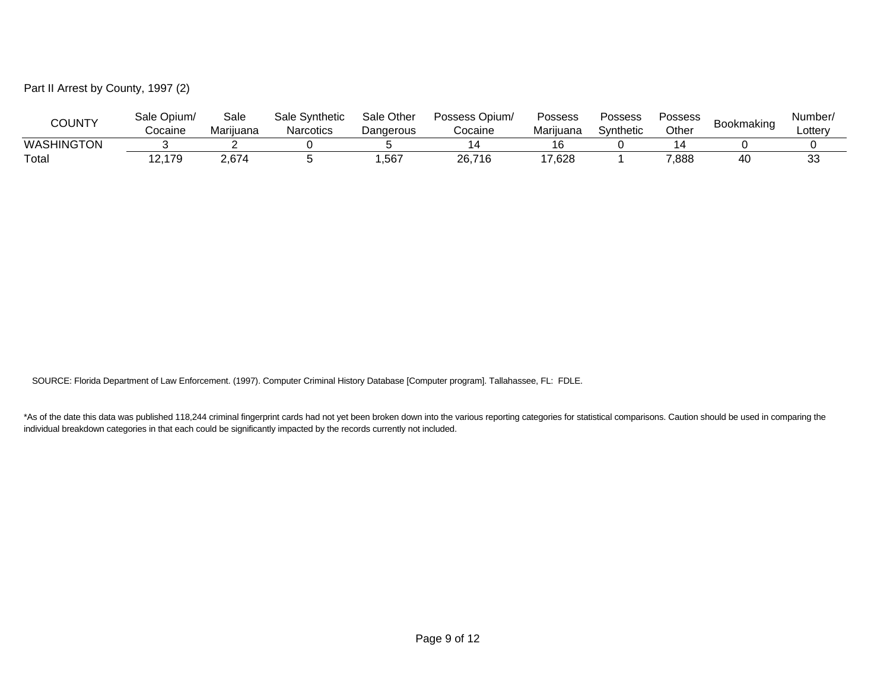Part II Arrest by County, 1997 (2)

| <b>COUNTY</b> | Sale Opium/ | Sale      | Sale Svnthetic | Sale Other | Possess Opium/ | Possess   | Possess   | Possess |            | Number   |
|---------------|-------------|-----------|----------------|------------|----------------|-----------|-----------|---------|------------|----------|
|               | Cocaine     | Mariiuana | Narcotics      | Dangerous  | Cocaine        | Mariiuana | Synthetic | Other   | Bookmaking | ∟otterv  |
| WASHINGTON    |             |           |                |            |                |           |           |         |            |          |
| Total         | .179        | 2,674     |                | ,567       | 26,716         | '7,628    |           | 7,888   | 40         | ৭৭<br>ಀಀ |

SOURCE: Florida Department of Law Enforcement. (1997). Computer Criminal History Database [Computer program]. Tallahassee, FL: FDLE.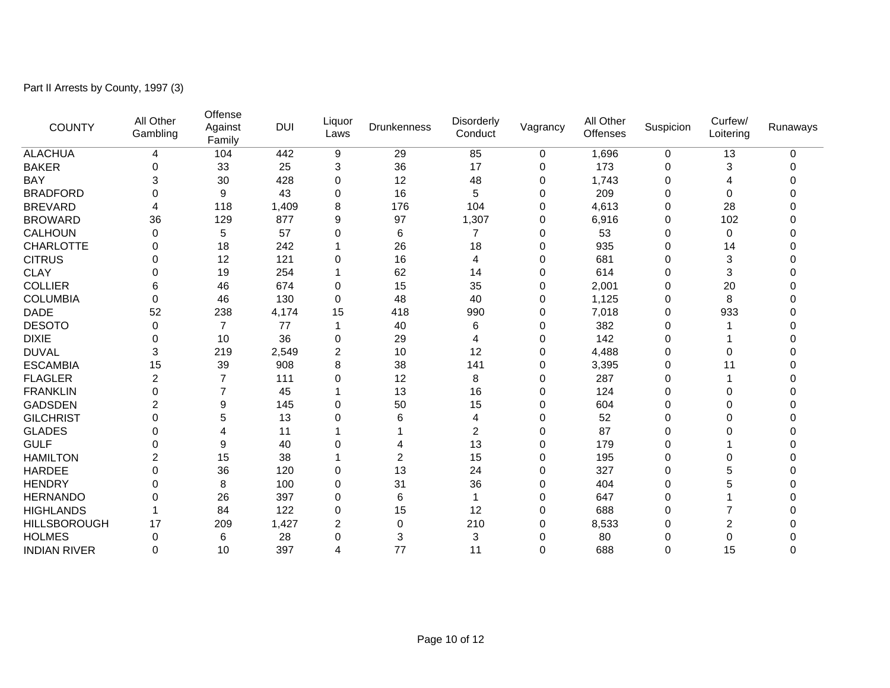Part II Arrests by County, 1997 (3)

| <b>COUNTY</b>       | All Other<br>Gambling | Offense<br>Against<br>Family | <b>DUI</b> | Liquor<br>Laws | <b>Drunkenness</b> | <b>Disorderly</b><br>Conduct | Vagrancy    | All Other<br><b>Offenses</b> | Suspicion   | Curfew/<br>Loitering | Runaways |
|---------------------|-----------------------|------------------------------|------------|----------------|--------------------|------------------------------|-------------|------------------------------|-------------|----------------------|----------|
| <b>ALACHUA</b>      | 4                     | 104                          | 442        | 9              | 29                 | 85                           | 0           | 1,696                        | 0           | 13                   | 0        |
| <b>BAKER</b>        | 0                     | 33                           | 25         | 3              | 36                 | 17                           | 0           | 173                          | 0           | 3                    |          |
| <b>BAY</b>          | 3                     | 30                           | 428        | 0              | 12                 | 48                           | 0           | 1,743                        | 0           | 4                    |          |
| <b>BRADFORD</b>     | 0                     | 9                            | 43         | 0              | 16                 | 5                            | 0           | 209                          | $\mathbf 0$ | 0                    |          |
| <b>BREVARD</b>      | 4                     | 118                          | 1,409      | 8              | 176                | 104                          | 0           | 4,613                        | 0           | 28                   |          |
| <b>BROWARD</b>      | 36                    | 129                          | 877        | 9              | 97                 | 1,307                        | 0           | 6,916                        | 0           | 102                  |          |
| <b>CALHOUN</b>      | 0                     | 5                            | 57         | 0              | 6                  | 7                            | 0           | 53                           | 0           | 0                    | U        |
| <b>CHARLOTTE</b>    | 0                     | 18                           | 242        |                | 26                 | 18                           | 0           | 935                          | $\Omega$    | 14                   |          |
| <b>CITRUS</b>       | 0                     | 12                           | 121        | 0              | 16                 | 4                            | 0           | 681                          | $\Omega$    | 3                    |          |
| <b>CLAY</b>         | 0                     | 19                           | 254        |                | 62                 | 14                           | $\mathbf 0$ | 614                          | 0           | 3                    |          |
| <b>COLLIER</b>      | 6                     | 46                           | 674        | 0              | 15                 | 35                           | $\mathbf 0$ | 2,001                        | 0           | 20                   |          |
| <b>COLUMBIA</b>     | 0                     | 46                           | 130        | 0              | 48                 | 40                           | 0           | 1,125                        | 0           | 8                    |          |
| <b>DADE</b>         | 52                    | 238                          | 4,174      | 15             | 418                | 990                          | 0           | 7,018                        | 0           | 933                  |          |
| <b>DESOTO</b>       | 0                     | 7                            | 77         |                | 40                 | 6                            | 0           | 382                          | $\mathbf 0$ |                      |          |
| <b>DIXIE</b>        | 0                     | 10                           | 36         | 0              | 29                 | 4                            | 0           | 142                          | $\mathbf 0$ |                      |          |
| <b>DUVAL</b>        | 3                     | 219                          | 2,549      | $\overline{2}$ | 10                 | 12                           | 0           | 4,488                        | 0           | 0                    |          |
| <b>ESCAMBIA</b>     | 15                    | 39                           | 908        | 8              | 38                 | 141                          | 0           | 3,395                        | 0           | 11                   |          |
| <b>FLAGLER</b>      | 2                     | 7                            | 111        | 0              | 12                 | 8                            | 0           | 287                          | 0           |                      |          |
| <b>FRANKLIN</b>     | 0                     |                              | 45         |                | 13                 | 16                           | 0           | 124                          | $\Omega$    | 0                    |          |
| <b>GADSDEN</b>      | 2                     | 9                            | 145        | 0              | 50                 | 15                           | $\mathbf 0$ | 604                          | $\Omega$    | 0                    |          |
| <b>GILCHRIST</b>    | 0                     | 5                            | 13         | 0              | 6                  | 4                            | 0           | 52                           | 0           | 0                    |          |
| <b>GLADES</b>       | 0                     | 4                            | 11         |                |                    | 2                            | 0           | 87                           | 0           | 0                    |          |
| <b>GULF</b>         | 0                     | 9                            | 40         | 0              | 4                  | 13                           | 0           | 179                          | 0           |                      |          |
| <b>HAMILTON</b>     | 2                     | 15                           | 38         |                | $\overline{2}$     | 15                           | 0           | 195                          | $\Omega$    | 0                    |          |
| <b>HARDEE</b>       | 0                     | 36                           | 120        | 0              | 13                 | 24                           | 0           | 327                          | $\mathbf 0$ | 5                    |          |
| <b>HENDRY</b>       | 0                     | 8                            | 100        | 0              | 31                 | 36                           | 0           | 404                          | 0           | 5                    |          |
| <b>HERNANDO</b>     | 0                     | 26                           | 397        | 0              | 6                  | 1                            | 0           | 647                          | $\Omega$    |                      |          |
| <b>HIGHLANDS</b>    |                       | 84                           | 122        | 0              | 15                 | 12                           | $\Omega$    | 688                          | $\Omega$    |                      |          |
| <b>HILLSBOROUGH</b> | 17                    | 209                          | 1,427      | 2              | 0                  | 210                          | 0           | 8,533                        | 0           | 2                    |          |
| <b>HOLMES</b>       | 0                     | 6                            | 28         | 0              | 3                  | 3                            | 0           | 80                           | 0           | 0                    |          |
| <b>INDIAN RIVER</b> | 0                     | 10                           | 397        | 4              | 77                 | 11                           | $\Omega$    | 688                          | $\Omega$    | 15                   | 0        |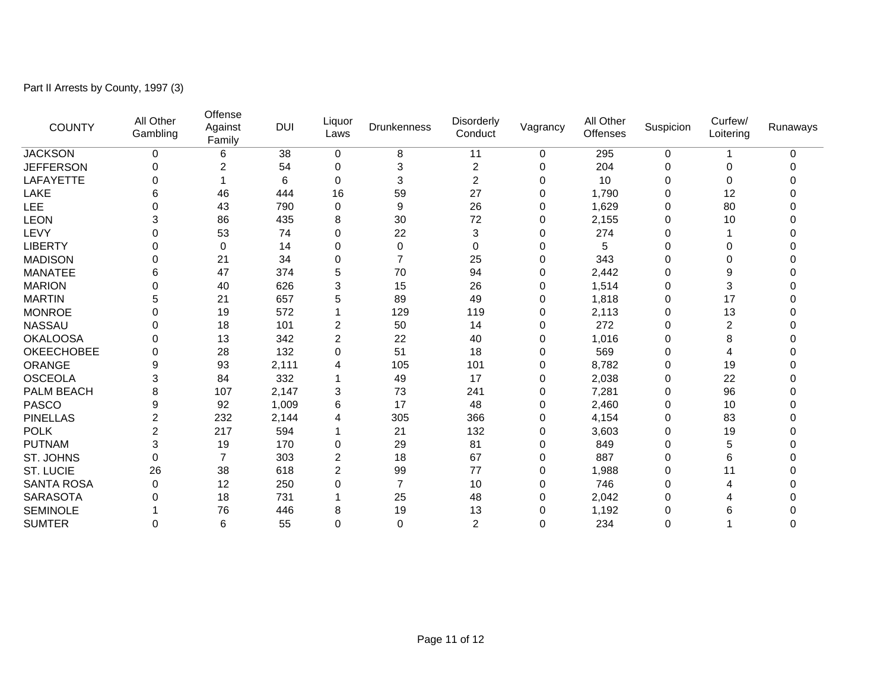Part II Arrests by County, 1997 (3)

| <b>COUNTY</b>     | All Other<br>Gambling   | Offense<br>Against<br>Family | <b>DUI</b> | Liquor<br>Laws | Drunkenness | <b>Disorderly</b><br>Conduct | Vagrancy    | All Other<br>Offenses | Suspicion   | Curfew/<br>Loitering | Runaways |
|-------------------|-------------------------|------------------------------|------------|----------------|-------------|------------------------------|-------------|-----------------------|-------------|----------------------|----------|
| <b>JACKSON</b>    | 0                       | 6                            | 38         | $\mathbf 0$    | 8           | 11                           | 0           | 295                   | 0           |                      | 0        |
| <b>JEFFERSON</b>  | 0                       | 2                            | 54         | 0              | 3           | 2                            | 0           | 204                   | 0           | 0                    | ი        |
| LAFAYETTE         | 0                       |                              | 6          | 0              | 3           | 2                            | 0           | 10                    | $\mathbf 0$ | 0                    | 0        |
| LAKE              | 6                       | 46                           | 444        | 16             | 59          | 27                           | 0           | 1,790                 | 0           | 12                   |          |
| LEE               | 0                       | 43                           | 790        | 0              | 9           | 26                           | 0           | 1,629                 | 0           | 80                   |          |
| <b>LEON</b>       | 3                       | 86                           | 435        | 8              | 30          | 72                           | 0           | 2,155                 | 0           | 10                   |          |
| LEVY              | 0                       | 53                           | 74         | 0              | 22          | 3                            | 0           | 274                   | $\mathbf 0$ |                      |          |
| <b>LIBERTY</b>    | 0                       | 0                            | 14         | 0              | 0           | 0                            | 0           | 5                     | 0           | 0                    |          |
| <b>MADISON</b>    | 0                       | 21                           | 34         | 0              | 7           | 25                           | 0           | 343                   | $\Omega$    | 0                    |          |
| <b>MANATEE</b>    | 6                       | 47                           | 374        | 5              | 70          | 94                           | $\mathbf 0$ | 2,442                 | $\mathbf 0$ | 9                    |          |
| <b>MARION</b>     | 0                       | 40                           | 626        | 3              | 15          | 26                           | 0           | 1,514                 | 0           | 3                    |          |
| <b>MARTIN</b>     | 5                       | 21                           | 657        | 5              | 89          | 49                           | 0           | 1,818                 | 0           | 17                   |          |
| <b>MONROE</b>     | 0                       | 19                           | 572        |                | 129         | 119                          | 0           | 2,113                 | 0           | 13                   |          |
| <b>NASSAU</b>     | 0                       | 18                           | 101        | $\overline{2}$ | 50          | 14                           | 0           | 272                   | 0           | $\overline{c}$       |          |
| <b>OKALOOSA</b>   | 0                       | 13                           | 342        | $\overline{c}$ | 22          | 40                           | 0           | 1,016                 | 0           | 8                    |          |
| <b>OKEECHOBEE</b> | 0                       | 28                           | 132        | 0              | 51          | 18                           | 0           | 569                   | 0           | 4                    |          |
| <b>ORANGE</b>     | 9                       | 93                           | 2,111      | 4              | 105         | 101                          | 0           | 8,782                 | 0           | 19                   |          |
| <b>OSCEOLA</b>    | 3                       | 84                           | 332        |                | 49          | 17                           | 0           | 2,038                 | 0           | 22                   |          |
| PALM BEACH        | 8                       | 107                          | 2,147      | 3              | 73          | 241                          | 0           | 7,281                 | 0           | 96                   |          |
| <b>PASCO</b>      | 9                       | 92                           | 1,009      | 6              | 17          | 48                           | 0           | 2,460                 | 0           | 10                   |          |
| <b>PINELLAS</b>   | $\overline{c}$          | 232                          | 2,144      | 4              | 305         | 366                          | 0           | 4,154                 | $\mathbf 0$ | 83                   | 0        |
| <b>POLK</b>       | $\overline{\mathbf{c}}$ | 217                          | 594        |                | 21          | 132                          | 0           | 3,603                 | 0           | 19                   | 0        |
| <b>PUTNAM</b>     | 3                       | 19                           | 170        | 0              | 29          | 81                           | 0           | 849                   | 0           | 5                    |          |
| ST. JOHNS         | 0                       |                              | 303        | $\overline{2}$ | 18          | 67                           | 0           | 887                   | $\mathbf 0$ | 6                    |          |
| <b>ST. LUCIE</b>  | 26                      | 38                           | 618        | $\overline{2}$ | 99          | 77                           | 0           | 1,988                 | 0           | 11                   |          |
| <b>SANTA ROSA</b> | 0                       | 12                           | 250        | 0              | 7           | 10                           | 0           | 746                   | 0           | 4                    |          |
| <b>SARASOTA</b>   | 0                       | 18                           | 731        |                | 25          | 48                           | 0           | 2,042                 | 0           | 4                    |          |
| <b>SEMINOLE</b>   |                         | 76                           | 446        | 8              | 19          | 13                           | 0           | 1,192                 | 0           | 6                    |          |
| <b>SUMTER</b>     | 0                       | 6                            | 55         | 0              | $\Omega$    | 2                            | $\Omega$    | 234                   | $\Omega$    |                      | 0        |